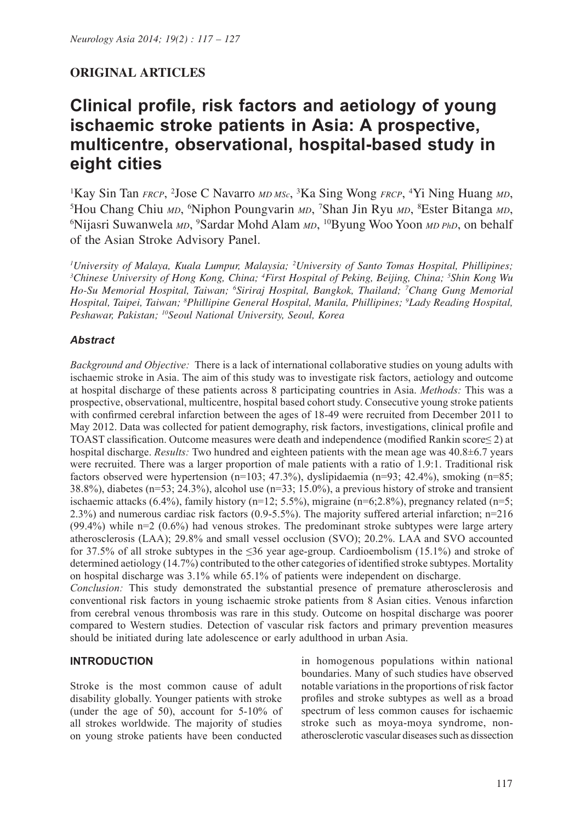# **ORIGINAL ARTICLES**

# **Clinical profile, risk factors and aetiology of young ischaemic stroke patients in Asia: A prospective, multicentre, observational, hospital-based study in eight cities**

<sup>1</sup>Kay Sin Tan *FRCP*, <sup>2</sup>Jose C Navarro *MD MSc*, <sup>3</sup>Ka Sing Wong *FRCP*, <sup>4</sup>Yi Ning Huang *MD*, <sup>5</sup>Hou Chang Chiu *MD*, <sup>6</sup>Ninhon Poungyarin *MD*, <sup>7</sup>Shan Jin Ryu *MD*, <sup>8</sup>Ester Bitanga *MD* <sup>5</sup>Hou Chang Chiu *MD*, <sup>6</sup>Niphon Poungvarin *MD*, <sup>7</sup>Shan Jin Ryu *MD*, <sup>8</sup>Ester Bitanga *MD*, 66Nijasri Suwanwela *MD*, <sup>9</sup>Sardar Mobd Alam *MD*, <sup>10</sup>Byung Woo Yoon *MD* 84D, on behalf Nijasri Suwanwela *MD*, 9 Sardar Mohd Alam *MD*, 10Byung Woo Yoon *MD PhD*, on behalf of the Asian Stroke Advisory Panel.

*1 University of Malaya, Kuala Lumpur, Malaysia; 2 University of Santo Tomas Hospital, Phillipines; 3 Chinese University of Hong Kong, China; 4 First Hospital of Peking, Beijing, China; 5 Shin Kong Wu Ho-Su Memorial Hospital, Taiwan; 6 Siriraj Hospital, Bangkok, Thailand; 7 Chang Gung Memorial Hospital, Taipei, Taiwan; 8 Phillipine General Hospital, Manila, Phillipines; 9 Lady Reading Hospital, Peshawar, Pakistan; 10Seoul National University, Seoul, Korea*

# *Abstract*

*Background and Objective:* There is a lack of international collaborative studies on young adults with ischaemic stroke in Asia. The aim of this study was to investigate risk factors, aetiology and outcome at hospital discharge of these patients across 8 participating countries in Asia. *Methods:* This was a prospective, observational, multicentre, hospital based cohort study. Consecutive young stroke patients with confirmed cerebral infarction between the ages of 18-49 were recruited from December 2011 to May 2012. Data was collected for patient demography, risk factors, investigations, clinical profile and TOAST classification. Outcome measures were death and independence (modified Rankin score≤ 2) at hospital discharge. *Results:* Two hundred and eighteen patients with the mean age was 40.8±6.7 years were recruited. There was a larger proportion of male patients with a ratio of 1.9:1. Traditional risk factors observed were hypertension ( $n=103$ ; 47.3%), dyslipidaemia ( $n=93$ ; 42.4%), smoking ( $n=85$ ; 38.8%), diabetes (n=53; 24.3%), alcohol use (n=33; 15.0%), a previous history of stroke and transient ischaemic attacks (6.4%), family history ( $n=12$ ; 5.5%), migraine ( $n=6$ ; 2.8%), pregnancy related ( $n=5$ ; 2.3%) and numerous cardiac risk factors (0.9-5.5%). The majority suffered arterial infarction; n=216  $(99.4\%)$  while n=2  $(0.6\%)$  had venous strokes. The predominant stroke subtypes were large artery atherosclerosis (LAA); 29.8% and small vessel occlusion (SVO); 20.2%. LAA and SVO accounted for 37.5% of all stroke subtypes in the ≤36 year age-group. Cardioembolism (15.1%) and stroke of determined aetiology (14.7%) contributed to the other categories of identified stroke subtypes. Mortality on hospital discharge was 3.1% while 65.1% of patients were independent on discharge.

*Conclusion:* This study demonstrated the substantial presence of premature atherosclerosis and conventional risk factors in young ischaemic stroke patients from 8 Asian cities. Venous infarction from cerebral venous thrombosis was rare in this study. Outcome on hospital discharge was poorer compared to Western studies. Detection of vascular risk factors and primary prevention measures should be initiated during late adolescence or early adulthood in urban Asia.

# **INTRODUCTION**

Stroke is the most common cause of adult disability globally. Younger patients with stroke (under the age of 50), account for 5-10% of all strokes worldwide. The majority of studies on young stroke patients have been conducted in homogenous populations within national boundaries. Many of such studies have observed notable variations in the proportions of risk factor profiles and stroke subtypes as well as a broad spectrum of less common causes for ischaemic stroke such as moya-moya syndrome, nonatherosclerotic vascular diseases such as dissection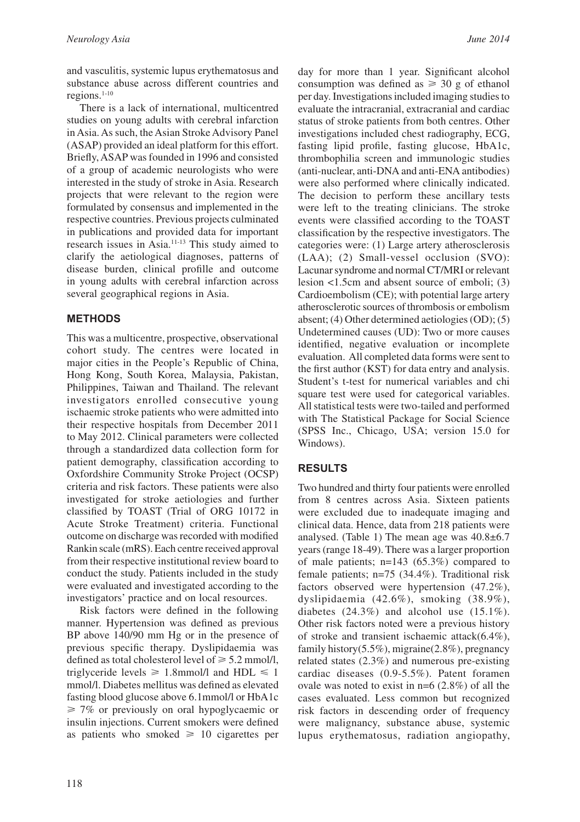and vasculitis, systemic lupus erythematosus and substance abuse across different countries and regions.1-10

There is a lack of international, multicentred studies on young adults with cerebral infarction in Asia. As such, the Asian Stroke Advisory Panel (ASAP) provided an ideal platform for this effort. Briefly, ASAP was founded in 1996 and consisted of a group of academic neurologists who were interested in the study of stroke in Asia. Research projects that were relevant to the region were formulated by consensus and implemented in the respective countries. Previous projects culminated in publications and provided data for important research issues in Asia.11-13 This study aimed to clarify the aetiological diagnoses, patterns of disease burden, clinical profille and outcome in young adults with cerebral infarction across several geographical regions in Asia.

#### **METHODS**

This was a multicentre, prospective, observational cohort study. The centres were located in major cities in the People's Republic of China, Hong Kong, South Korea, Malaysia, Pakistan, Philippines, Taiwan and Thailand. The relevant investigators enrolled consecutive young ischaemic stroke patients who were admitted into their respective hospitals from December 2011 to May 2012. Clinical parameters were collected through a standardized data collection form for patient demography, classification according to Oxfordshire Community Stroke Project (OCSP) criteria and risk factors. These patients were also investigated for stroke aetiologies and further classified by TOAST (Trial of ORG 10172 in Acute Stroke Treatment) criteria. Functional outcome on discharge was recorded with modified Rankin scale (mRS). Each centre received approval from their respective institutional review board to conduct the study. Patients included in the study were evaluated and investigated according to the investigators' practice and on local resources.

Risk factors were defined in the following manner. Hypertension was defined as previous BP above 140/90 mm Hg or in the presence of previous specific therapy. Dyslipidaemia was defined as total cholesterol level of  $\geq 5.2$  mmol/l. triglyceride levels  $\geq 1.8$ mmol/l and HDL  $\leq 1$ mmol/l. Diabetes mellitus was defined as elevated fasting blood glucose above 6.1mmol/l or HbA1c  $\geq 7\%$  or previously on oral hypoglycaemic or insulin injections. Current smokers were defined as patients who smoked  $\geq 10$  cigarettes per day for more than 1 year. Significant alcohol consumption was defined as  $\geq 30$  g of ethanol per day. Investigations included imaging studies to evaluate the intracranial, extracranial and cardiac status of stroke patients from both centres. Other investigations included chest radiography, ECG, fasting lipid profile, fasting glucose, HbA1c, thrombophilia screen and immunologic studies (anti-nuclear, anti-DNA and anti-ENA antibodies) were also performed where clinically indicated. The decision to perform these ancillary tests were left to the treating clinicians. The stroke events were classified according to the TOAST classification by the respective investigators. The categories were: (1) Large artery atherosclerosis (LAA); (2) Small-vessel occlusion (SVO): Lacunar syndrome and normal CT/MRI or relevant lesion <1.5cm and absent source of emboli; (3) Cardioembolism (CE); with potential large artery atherosclerotic sources of thrombosis or embolism absent; (4) Other determined aetiologies (OD); (5) Undetermined causes (UD): Two or more causes identified, negative evaluation or incomplete evaluation. All completed data forms were sent to the first author (KST) for data entry and analysis. Student's t-test for numerical variables and chi square test were used for categorical variables. All statistical tests were two-tailed and performed with The Statistical Package for Social Science (SPSS Inc., Chicago, USA; version 15.0 for Windows).

# **RESULTS**

Two hundred and thirty four patients were enrolled from 8 centres across Asia. Sixteen patients were excluded due to inadequate imaging and clinical data. Hence, data from 218 patients were analysed. (Table 1) The mean age was 40.8±6.7 years (range 18-49). There was a larger proportion of male patients; n=143 (65.3%) compared to female patients; n=75 (34.4%). Traditional risk factors observed were hypertension (47.2%), dyslipidaemia (42.6%), smoking (38.9%), diabetes (24.3%) and alcohol use (15.1%). Other risk factors noted were a previous history of stroke and transient ischaemic attack(6.4%), family history(5.5%), migraine(2.8%), pregnancy related states (2.3%) and numerous pre-existing cardiac diseases (0.9-5.5%). Patent foramen ovale was noted to exist in n=6 (2.8%) of all the cases evaluated. Less common but recognized risk factors in descending order of frequency were malignancy, substance abuse, systemic lupus erythematosus, radiation angiopathy,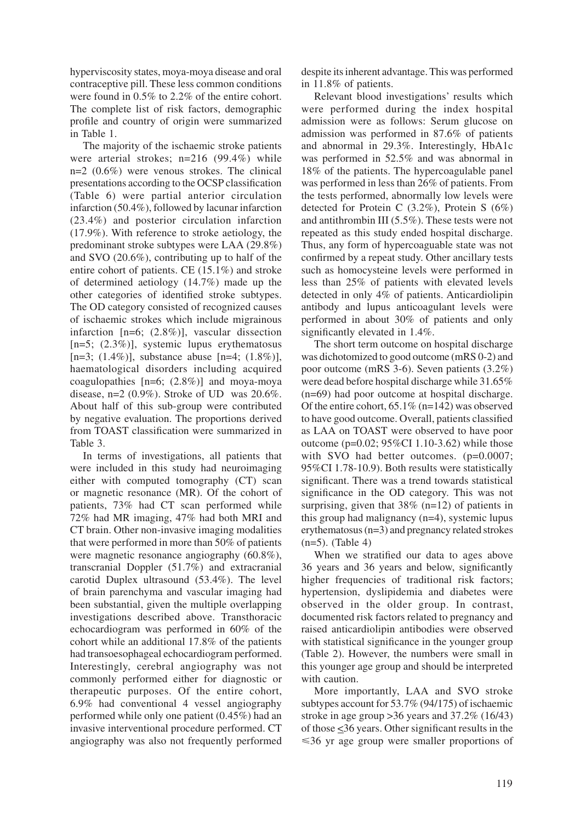hyperviscosity states, moya-moya disease and oral contraceptive pill. These less common conditions were found in 0.5% to 2.2% of the entire cohort. The complete list of risk factors, demographic profile and country of origin were summarized in Table 1.

The majority of the ischaemic stroke patients were arterial strokes; n=216 (99.4%) while n=2 (0.6%) were venous strokes. The clinical presentations according to the OCSP classification (Table 6) were partial anterior circulation infarction (50.4%), followed by lacunar infarction (23.4%) and posterior circulation infarction (17.9%). With reference to stroke aetiology, the predominant stroke subtypes were LAA (29.8%) and SVO (20.6%), contributing up to half of the entire cohort of patients. CE (15.1%) and stroke of determined aetiology (14.7%) made up the other categories of identified stroke subtypes. The OD category consisted of recognized causes of ischaemic strokes which include migrainous infarction [n=6; (2.8%)], vascular dissection  $[n=5; (2.3\%)]$ , systemic lupus erythematosus [n=3; (1.4%)], substance abuse [n=4;  $(1.8\%)$ ], haematological disorders including acquired coagulopathies [n=6; (2.8%)] and moya-moya disease,  $n=2$  (0.9%). Stroke of UD was 20.6%. About half of this sub-group were contributed by negative evaluation. The proportions derived from TOAST classification were summarized in Table 3.

In terms of investigations, all patients that were included in this study had neuroimaging either with computed tomography (CT) scan or magnetic resonance (MR). Of the cohort of patients, 73% had CT scan performed while 72% had MR imaging, 47% had both MRI and CT brain. Other non-invasive imaging modalities that were performed in more than 50% of patients were magnetic resonance angiography (60.8%), transcranial Doppler (51.7%) and extracranial carotid Duplex ultrasound (53.4%). The level of brain parenchyma and vascular imaging had been substantial, given the multiple overlapping investigations described above. Transthoracic echocardiogram was performed in 60% of the cohort while an additional 17.8% of the patients had transoesophageal echocardiogram performed. Interestingly, cerebral angiography was not commonly performed either for diagnostic or therapeutic purposes. Of the entire cohort, 6.9% had conventional 4 vessel angiography performed while only one patient (0.45%) had an invasive interventional procedure performed. CT angiography was also not frequently performed

despite its inherent advantage. This was performed in 11.8% of patients.

Relevant blood investigations' results which were performed during the index hospital admission were as follows: Serum glucose on admission was performed in 87.6% of patients and abnormal in 29.3%. Interestingly, HbA1c was performed in 52.5% and was abnormal in 18% of the patients. The hypercoagulable panel was performed in less than 26% of patients. From the tests performed, abnormally low levels were detected for Protein C (3.2%), Protein S (6%) and antithrombin III (5.5%). These tests were not repeated as this study ended hospital discharge. Thus, any form of hypercoaguable state was not confirmed by a repeat study. Other ancillary tests such as homocysteine levels were performed in less than 25% of patients with elevated levels detected in only 4% of patients. Anticardiolipin antibody and lupus anticoagulant levels were performed in about 30% of patients and only significantly elevated in 1.4%.

The short term outcome on hospital discharge was dichotomized to good outcome (mRS 0-2) and poor outcome (mRS 3-6). Seven patients (3.2%) were dead before hospital discharge while 31.65% (n=69) had poor outcome at hospital discharge. Of the entire cohort, 65.1% (n=142) was observed to have good outcome. Overall, patients classified as LAA on TOAST were observed to have poor outcome (p=0.02; 95%CI 1.10-3.62) while those with SVO had better outcomes. (p=0.0007; 95%CI 1.78-10.9). Both results were statistically significant. There was a trend towards statistical significance in the OD category. This was not surprising, given that  $38\%$  (n=12) of patients in this group had malignancy (n=4), systemic lupus erythematosus (n=3) and pregnancy related strokes  $(n=5)$ . (Table 4)

When we stratified our data to ages above 36 years and 36 years and below, significantly higher frequencies of traditional risk factors; hypertension, dyslipidemia and diabetes were observed in the older group. In contrast, documented risk factors related to pregnancy and raised anticardiolipin antibodies were observed with statistical significance in the younger group (Table 2). However, the numbers were small in this younger age group and should be interpreted with caution.

More importantly, LAA and SVO stroke subtypes account for 53.7% (94/175) of ischaemic stroke in age group >36 years and 37.2% (16/43) of those  $\leq$ 36 years. Other significant results in the  $\leq$ 36 yr age group were smaller proportions of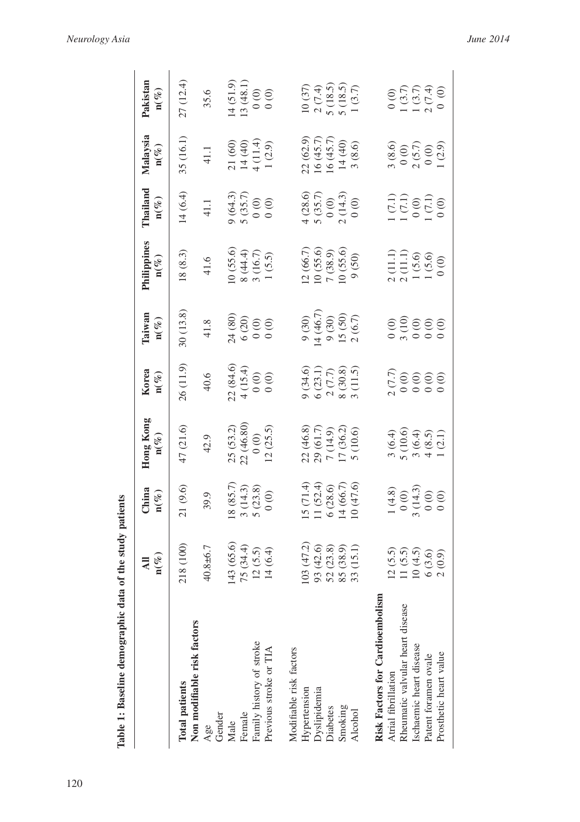| Table 1: Baseline demographic data of the study patients |                                                   |                                                                               |                                                                                                            |                                                                                                  |                                                     |                                                                                               |                                                                                                  |                                                                                     |                                                                                           |
|----------------------------------------------------------|---------------------------------------------------|-------------------------------------------------------------------------------|------------------------------------------------------------------------------------------------------------|--------------------------------------------------------------------------------------------------|-----------------------------------------------------|-----------------------------------------------------------------------------------------------|--------------------------------------------------------------------------------------------------|-------------------------------------------------------------------------------------|-------------------------------------------------------------------------------------------|
|                                                          | $\mathbf{n}(\mathcal{V}_\ell)$<br>$\overline{AB}$ | China<br>n $(\%)$                                                             | Hong Kong<br>$n(\%)$                                                                                       | Korea<br>$\mathbf{n}(\mathcal{V})$                                                               | Taiwan<br>$\mathbf{n}(\%)$                          | Philippines<br>$\mathbf{n}(\%)$                                                               | Thailand<br>$n(\%)$                                                                              | Malaysia<br>$\mathbf{n}(\%)$                                                        | Pakistan<br>$\mathbf{n}(\%)$                                                              |
| Non modifiable risk factors<br><b>Total patients</b>     | 218 (100)                                         | 21(9.6)                                                                       | 47 (21.6)                                                                                                  | 26(11.9)                                                                                         | 30(13.8)                                            | 18(8.3)                                                                                       | 14(6.4)                                                                                          | 35 (16.1)                                                                           | 27 (12.4)                                                                                 |
| Gender<br>Age                                            | $40.8 + 6.7$                                      | 39.9                                                                          | 42.9                                                                                                       | 40.6                                                                                             | 41.8                                                | 41.6                                                                                          | 41.1                                                                                             | 41.1                                                                                | 35.6                                                                                      |
| Male                                                     | $143(65.6)$<br>75 $(34.4)$                        | $\begin{array}{c} 18\ (85.7) \\ 3\ (14.3) \\ 5\ (23.8) \\ 0\ (0) \end{array}$ | $25(53.2)$<br>$22(46.80)$                                                                                  | $\begin{array}{c} 22 & (84.6) \\ 4 & (15.4) \\ 0 & (0) \\ 0 & (0) \end{array}$                   | $24(80)$<br>$6(20)$<br>$0(0)$<br>$0(0)$             | $\begin{array}{c} 10\ (55.6) \\ 8\ (44.4) \\ 3\ (16.7) \\ 1\ (5.5) \end{array}$               | $9(64.3)$<br>5 (35.7)<br>0 (0)                                                                   | 21 (60)<br>14 (40)<br>4 (11.4)<br>1 (2.9)                                           | 14(51.9)<br>13(48.1)                                                                      |
| Family history of stroke<br>Female                       |                                                   |                                                                               |                                                                                                            |                                                                                                  |                                                     |                                                                                               |                                                                                                  |                                                                                     |                                                                                           |
| Previous stroke or TIA                                   | $12(5.5)$<br>$14(6.4)$                            |                                                                               | $\begin{array}{c} 0.00 \\ 12.25.5 \end{array}$                                                             |                                                                                                  |                                                     |                                                                                               |                                                                                                  |                                                                                     | $\begin{matrix} 0 & 0 \\ 0 & 0 \end{matrix}$                                              |
| Modifiable risk factors                                  |                                                   |                                                                               |                                                                                                            |                                                                                                  |                                                     |                                                                                               |                                                                                                  |                                                                                     |                                                                                           |
| Hypertension                                             |                                                   |                                                                               |                                                                                                            |                                                                                                  |                                                     |                                                                                               |                                                                                                  |                                                                                     |                                                                                           |
| Dyslipidemia                                             | 103 (47.2)<br>93 (42.6)<br>52 (23.8)<br>85 (38.9) | 15 (71.4)<br>11 (52.4)<br>6 (28.6)<br>14 (66.7)<br>10 (47.6)                  | 22 (46.8)<br>29 (61.7)<br>7 (14.9)<br>17 (36.2)<br>5 (10.6)                                                | $\begin{array}{l} 9 \ (34.6) \\ 6 \ (23.1) \\ 2 \ (7.7) \\ 8 \ (30.8) \\ 3 \ (11.5) \end{array}$ | 9 (30)<br>14 (46.7)<br>9 (30)<br>15 (50)<br>2 (6.7) | $\begin{array}{c} 12\ (66.7) \\ 10\ (55.6) \\ 7\ (38.9) \\ 10\ (55.6) \\ 9\ (50) \end{array}$ | $\begin{array}{c} 4 \; (28.6) \\ 5 \; (35.7) \\ 0 \; (0) \\ 2 \; (14.3) \\ 0 \; (0) \end{array}$ | 22 (62.9)<br>16 (45.7)<br>16 (45.7)<br>14 (40)                                      |                                                                                           |
| Diabetes                                                 |                                                   |                                                                               |                                                                                                            |                                                                                                  |                                                     |                                                                                               |                                                                                                  |                                                                                     |                                                                                           |
| Smoking                                                  |                                                   |                                                                               |                                                                                                            |                                                                                                  |                                                     |                                                                                               |                                                                                                  |                                                                                     |                                                                                           |
| Alcohol                                                  | 33 (15.1)                                         |                                                                               |                                                                                                            |                                                                                                  |                                                     |                                                                                               |                                                                                                  | 3(8.6)                                                                              | $\begin{array}{c} 10\ (37) \\ 2\ (7.4) \\ 5\ (18.5) \\ 5\ (18.5) \\ 1\ (3.7) \end{array}$ |
| Risk Factors for Cardioembolism                          |                                                   |                                                                               |                                                                                                            |                                                                                                  |                                                     |                                                                                               |                                                                                                  |                                                                                     |                                                                                           |
| Atrial fibrillation                                      | 12(5.5)                                           |                                                                               |                                                                                                            |                                                                                                  |                                                     |                                                                                               |                                                                                                  |                                                                                     |                                                                                           |
| Rheumatic valvular heart disease                         | 11(5.5)                                           | $1(4.8)$<br>$0(0)$<br>$3(14.3)$<br>$0(0)$<br>$0(0)$                           | $\begin{array}{c} 3 & (6.4) \\ 5 & (10.6) \\ 5 & (6.4) \\ 3 & (8.5) \\ 4 & (2.1) \\ 1 & (2.1) \end{array}$ |                                                                                                  | $0.0000$<br>$0.0000$                                |                                                                                               |                                                                                                  | $\begin{array}{c} 3\ (8.6) \\ 0\ (0) \\ 2\ (5.7) \\ 0\ (0) \\ 1\ (2.9) \end{array}$ | $\begin{array}{c} 0.00 \\ -1.37 \\ 1.37 \\ 2.74 \\ 0.01 \end{array}$                      |
| Ischaemic heart disease                                  | 10(4.5)                                           |                                                                               |                                                                                                            |                                                                                                  |                                                     |                                                                                               |                                                                                                  |                                                                                     |                                                                                           |
| Patent foramen ovale                                     | 6(3.6)                                            |                                                                               |                                                                                                            |                                                                                                  |                                                     |                                                                                               |                                                                                                  |                                                                                     |                                                                                           |
| Prosthetic heart value                                   | 2(0.9)                                            |                                                                               |                                                                                                            |                                                                                                  |                                                     | $\begin{array}{c} 2 (11.1) \\ 2 (11.1) \\ 1 (5.6) \\ 1 (5.6) \\ 1 (6.6) \end{array}$          | $\begin{array}{l} (7.1) \\ 1 \ (7.1) \\ 0 \ (0) \\ 1 \ (7.1) \\ 0 \ (1) \\ 0 \ (0) \end{array}$  |                                                                                     |                                                                                           |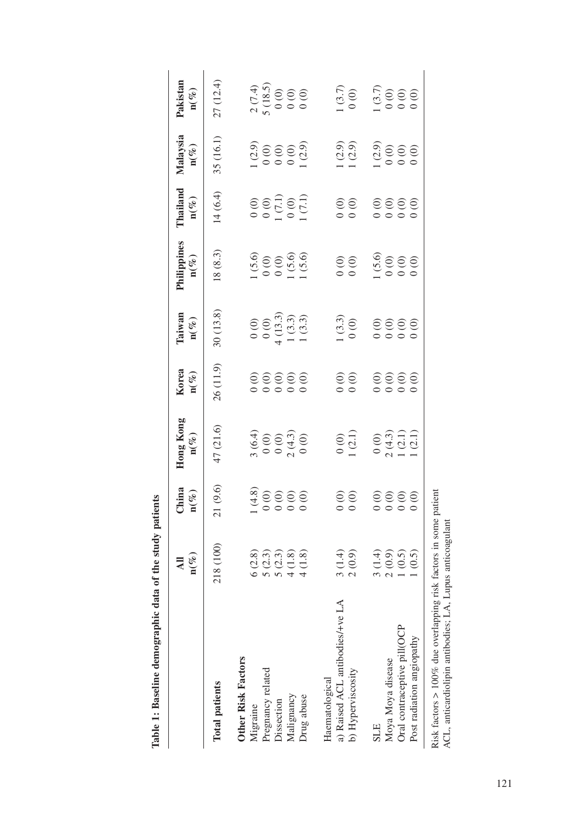|                                                                                                                        | $\mathbf{n}(\%)$<br>$\overline{\mathbf{a}}$ | $\begin{array}{l} \text{China} \\ \mathbf{n}(\%) \end{array}$ | Hong Kong<br>$\mathbf{n}(\mathcal{V}_c)$                                     | Korea $_{\mathbf{n}(\mathscr{C}_{o})}$ | Taiwan<br>$n(\%)$                                                               | Philippines<br>$\mathbf{n}(\%)$                                                                                                                                                                                                                                                                     | Thailand<br>$\mathbf{n}(\%)$                                                       | Malaysia<br>$n(\%)$                                                   | Pakistan<br>$\mathbf{n}(\%)$                                   |
|------------------------------------------------------------------------------------------------------------------------|---------------------------------------------|---------------------------------------------------------------|------------------------------------------------------------------------------|----------------------------------------|---------------------------------------------------------------------------------|-----------------------------------------------------------------------------------------------------------------------------------------------------------------------------------------------------------------------------------------------------------------------------------------------------|------------------------------------------------------------------------------------|-----------------------------------------------------------------------|----------------------------------------------------------------|
| <b>Total patients</b>                                                                                                  | 218 (100)                                   | 21(9.6)                                                       | 47(21.6)                                                                     | 26(11.9)                               | 30(13.8)                                                                        | 18(8.3)                                                                                                                                                                                                                                                                                             | 14(6.4)                                                                            | 35 (16.1)                                                             | 27 (12.4)                                                      |
| <b>Other Risk Factors</b>                                                                                              |                                             |                                                               |                                                                              |                                        |                                                                                 |                                                                                                                                                                                                                                                                                                     |                                                                                    |                                                                       |                                                                |
| Migraine                                                                                                               | 6(2.8)                                      |                                                               |                                                                              |                                        |                                                                                 |                                                                                                                                                                                                                                                                                                     |                                                                                    |                                                                       |                                                                |
| Pregnancy related                                                                                                      | 5(2.3)                                      |                                                               |                                                                              |                                        |                                                                                 |                                                                                                                                                                                                                                                                                                     |                                                                                    |                                                                       |                                                                |
| Dissection                                                                                                             | 5(2.3)                                      |                                                               |                                                                              |                                        |                                                                                 |                                                                                                                                                                                                                                                                                                     |                                                                                    |                                                                       |                                                                |
| Malignancy                                                                                                             | 4(1.8)                                      |                                                               |                                                                              |                                        |                                                                                 |                                                                                                                                                                                                                                                                                                     |                                                                                    |                                                                       |                                                                |
| Drug abuse                                                                                                             | 4(1.8)                                      | $(4.8)$<br>$(0.0000)$                                         | $\begin{array}{l} 3\ (6.4) \\ 0\ (0) \\ 0\ (0) \\ 2\ (4.3) \\ 0 \end{array}$ | 00000                                  | $\begin{array}{c} 0 & 0 \\ 0 & 0 \\ 4 & 13.3 \\ 1 & 3.3 \\ 1 & 0.3 \end{array}$ | $\begin{array}{r} 1.5.6 \\ 0.00 \\ 0.01 \\ 1.5.0 \\ 1.5.0 \\ 1.5.0 \\ 1.5.0 \\ 1.5.0 \\ 1.5.0 \\ 1.5.0 \\ 1.5.0 \\ 1.5.0 \\ 1.5.0 \\ 1.5.0 \\ 1.5.0 \\ 1.5.0 \\ 1.5.0 \\ 1.5.0 \\ 1.5.0 \\ 1.5.0 \\ 1.5.0 \\ 1.5.0 \\ 1.5.0 \\ 1.5.0 \\ 1.5.0 \\ 1.5.0 \\ 1.5.0 \\ 1.5.0 \\ 1.5.0 \\ 1.5.0 \\ 1.5.$ | $\begin{array}{c} 0 & 0 & 0 \\ 0 & 0 & 0 \\ 0 & 0 & 0 \\ 0 & 0 & 0 \\ \end{array}$ | $\begin{array}{c}\n 1.29 \\  0.000 \\  0.000 \\  0.000\n \end{array}$ | $2(7.4)$<br>5 (18.5)<br>0 (0)<br>0 0 (0)                       |
|                                                                                                                        |                                             |                                                               |                                                                              |                                        |                                                                                 |                                                                                                                                                                                                                                                                                                     |                                                                                    |                                                                       |                                                                |
| a) Raised ACL antibodies/+ve LA<br>Haematological                                                                      | 3(1.4)                                      |                                                               |                                                                              |                                        |                                                                                 |                                                                                                                                                                                                                                                                                                     |                                                                                    |                                                                       |                                                                |
| b) Hyperviscosity                                                                                                      | 2(0.9)                                      | $\begin{matrix} 0 & 0 \\ 0 & 0 \end{matrix}$                  | $\frac{0}{(2.1)}$                                                            | 0.00000                                | $(3.3)$<br>0 (0)                                                                |                                                                                                                                                                                                                                                                                                     | $\begin{matrix} 0 & 0 \\ 0 & 0 \end{matrix}$                                       | $(2.9)$<br>1 (2.9)                                                    | $(3.7)$<br>$(0.6)$<br>$(3.7)$<br>$(3.7)$<br>$(0.6)$<br>$(0.6)$ |
|                                                                                                                        |                                             |                                                               |                                                                              |                                        |                                                                                 |                                                                                                                                                                                                                                                                                                     |                                                                                    |                                                                       |                                                                |
| <b>SLE</b>                                                                                                             | 3(1.4)                                      |                                                               |                                                                              |                                        |                                                                                 |                                                                                                                                                                                                                                                                                                     |                                                                                    |                                                                       |                                                                |
| Moya Moya disease                                                                                                      | 2(0.9)                                      |                                                               |                                                                              |                                        |                                                                                 |                                                                                                                                                                                                                                                                                                     |                                                                                    |                                                                       |                                                                |
| Oral contraceptive pill(OCP                                                                                            | 1(0.5)                                      | 0000                                                          |                                                                              | 0000                                   |                                                                                 | $(5.6)$<br>$0.0000$                                                                                                                                                                                                                                                                                 | 0000                                                                               |                                                                       |                                                                |
| Post radiation angiopathy                                                                                              | (0.5)                                       |                                                               | $\begin{array}{c} 0.00 \\ 2.4.3 \\ 1.2.1) \\ 1.2.1) \\ 1.2.1) \end{array}$   |                                        |                                                                                 |                                                                                                                                                                                                                                                                                                     |                                                                                    |                                                                       |                                                                |
| Risk factors > 100% due overlapping risk factors in some patient<br>ACL, anticardiolipin antibodies; LA, Lupus anticoa | agulant                                     |                                                               |                                                                              |                                        |                                                                                 |                                                                                                                                                                                                                                                                                                     |                                                                                    |                                                                       |                                                                |

Table 1: Baseline demographic data of the study patients **Table 1: Baseline demographic data of the study patients**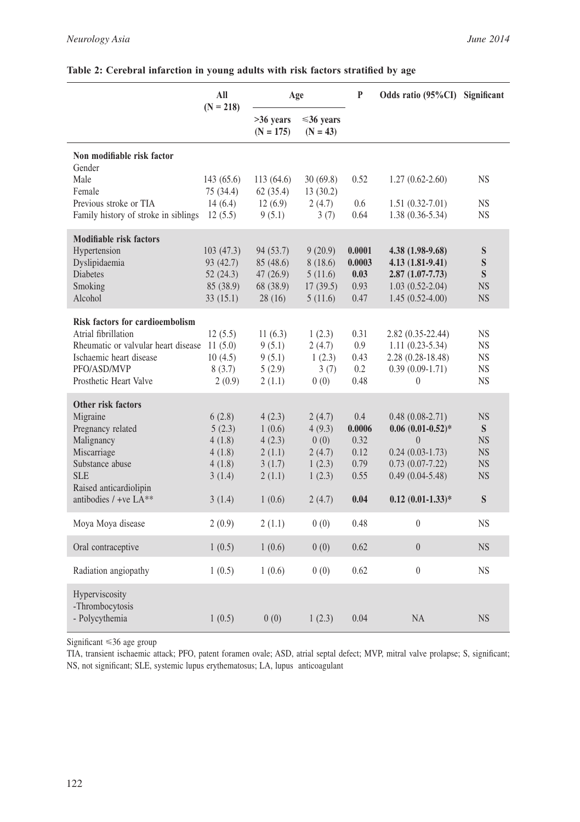|                                                                | All<br>$(N = 218)$     | Age                      |                               | $\mathbf{P}$     | Odds ratio (95%CI) Significant           |                        |
|----------------------------------------------------------------|------------------------|--------------------------|-------------------------------|------------------|------------------------------------------|------------------------|
|                                                                |                        | >36 years<br>$(N = 175)$ | $\leq 36$ vears<br>$(N = 43)$ |                  |                                          |                        |
| Non modifiable risk factor<br>Gender                           |                        |                          |                               |                  |                                          |                        |
| Male<br>Female                                                 | 143 (65.6)<br>75(34.4) | 113 (64.6)<br>62(35.4)   | 30(69.8)<br>13(30.2)          | 0.52             | $1.27(0.62 - 2.60)$                      | <b>NS</b>              |
| Previous stroke or TIA<br>Family history of stroke in siblings | 14(6.4)<br>12(5.5)     | 12(6.9)<br>9(5.1)        | 2(4.7)<br>3(7)                | 0.6<br>0.64      | $1.51(0.32-7.01)$<br>$1.38(0.36-5.34)$   | <b>NS</b><br>NS.       |
| Modifiable risk factors                                        |                        |                          |                               |                  |                                          |                        |
| Hypertension<br>Dyslipidaemia                                  | 103(47.3)<br>93 (42.7) | 94 (53.7)<br>85 (48.6)   | 9(20.9)<br>8(18.6)            | 0.0001<br>0.0003 | 4.38 (1.98-9.68)<br>$4.13(1.81-9.41)$    | ${\bf S}$<br>${\bf S}$ |
| <b>Diabetes</b><br>Smoking                                     | 52(24.3)<br>85 (38.9)  | 47 (26.9)<br>68 (38.9)   | 5(11.6)<br>17(39.5)           | 0.03<br>0.93     | $2.87(1.07 - 7.73)$<br>$1.03(0.52-2.04)$ | S<br><b>NS</b>         |
| Alcohol                                                        | 33(15.1)               | 28(16)                   | 5(11.6)                       | 0.47             | $1.45(0.52-4.00)$                        | <b>NS</b>              |
| <b>Risk factors for cardioembolism</b>                         |                        |                          |                               |                  |                                          |                        |
| Atrial fibrillation<br>Rheumatic or valvular heart disease     | 12(5.5)<br>11(5.0)     | 11 $(6.3)$<br>9(5.1)     | 1(2.3)<br>2(4.7)              | 0.31<br>0.9      | 2.82 (0.35-22.44)<br>$1.11(0.23-5.34)$   | NS<br><b>NS</b>        |
| Ischaemic heart disease                                        | 10(4.5)                | 9(5.1)                   | 1(2.3)                        | 0.43             | $2.28(0.28-18.48)$                       | $_{\rm NS}$            |
| PFO/ASD/MVP                                                    | 8(3.7)                 | 5(2.9)                   | 3(7)                          | 0.2              | $0.39(0.09-1.71)$                        | <b>NS</b>              |
| Prosthetic Heart Valve                                         | 2(0.9)                 | 2(1.1)                   | 0(0)                          | 0.48             | $\overline{0}$                           | <b>NS</b>              |
| Other risk factors                                             |                        |                          |                               |                  |                                          |                        |
| Migraine<br>Pregnancy related                                  | 6(2.8)<br>5(2.3)       | 4(2.3)<br>1(0.6)         | 2(4.7)<br>4(9.3)              | 0.4<br>0.0006    | $0.48(0.08-2.71)$<br>$0.06(0.01-0.52)*$  | <b>NS</b><br>S         |
| Malignancy                                                     | 4(1.8)                 | 4(2.3)                   | 0(0)                          | 0.32             | $\overline{0}$                           | <b>NS</b>              |
| Miscarriage                                                    | 4(1.8)                 | 2(1.1)                   | 2(4.7)                        | 0.12             | $0.24(0.03-1.73)$                        | <b>NS</b>              |
| Substance abuse                                                | 4(1.8)                 | 3(1.7)                   | 1(2.3)                        | 0.79             | $0.73(0.07 - 7.22)$                      | <b>NS</b>              |
| <b>SLE</b><br>Raised anticardiolipin                           | 3(1.4)                 | 2(1.1)                   | 1(2.3)                        | 0.55             | $0.49(0.04-5.48)$                        | <b>NS</b>              |
| antibodies / +ve LA**                                          | 3(1.4)                 | 1(0.6)                   | 2(4.7)                        | 0.04             | $0.12$ $(0.01 - 1.33)*$                  | S                      |
| Moya Moya disease                                              | 2(0.9)                 | 2(1.1)                   | 0(0)                          | 0.48             | $\overline{0}$                           | <b>NS</b>              |
| Oral contraceptive                                             | 1(0.5)                 | 1(0.6)                   | 0(0)                          | 0.62             | $\overline{0}$                           | <b>NS</b>              |
| Radiation angiopathy                                           | 1(0.5)                 | 1(0.6)                   | 0(0)                          | 0.62             | $\theta$                                 | NS.                    |
| Hyperviscosity<br>-Thrombocytosis                              |                        |                          |                               |                  |                                          |                        |
| - Polycythemia                                                 | 1(0.5)                 | 0(0)                     | 1(2.3)                        | 0.04             | <b>NA</b>                                | <b>NS</b>              |

#### **Table 2: Cerebral infarction in young adults with risk factors stratified by age**

Significant <36 age group

TIA, transient ischaemic attack; PFO, patent foramen ovale; ASD, atrial septal defect; MVP, mitral valve prolapse; S, significant; NS, not significant; SLE, systemic lupus erythematosus; LA, lupus anticoagulant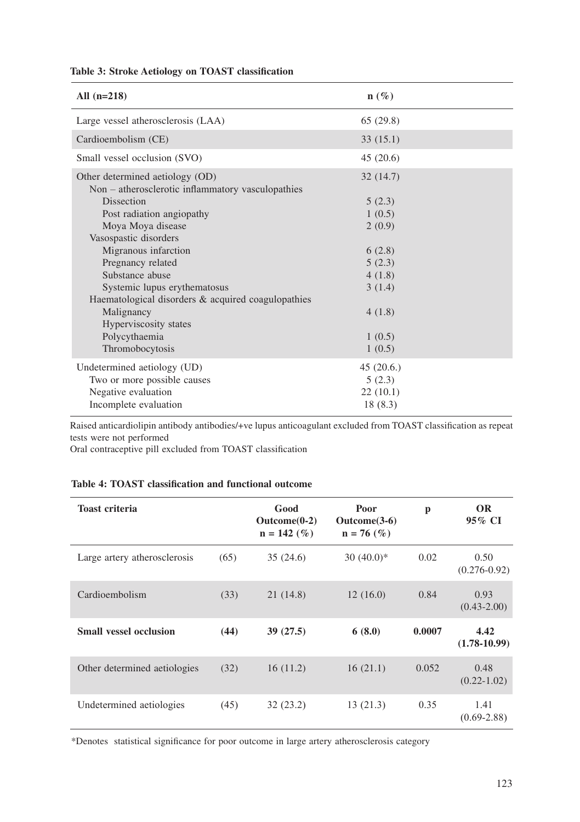| Table 3: Stroke Aetiology on TOAST classification |  |  |
|---------------------------------------------------|--|--|
|---------------------------------------------------|--|--|

| All $(n=218)$                                                                                             | $\mathbf{n}(\%)$ |  |
|-----------------------------------------------------------------------------------------------------------|------------------|--|
| Large vessel atherosclerosis (LAA)                                                                        | 65(29.8)         |  |
| Cardioembolism (CE)                                                                                       | 33(15.1)         |  |
| Small vessel occlusion (SVO)                                                                              | 45(20.6)         |  |
| Other determined aetiology (OD)<br>Non – atherosclerotic inflammatory vasculopathies<br><b>Dissection</b> | 32(14.7)         |  |
| Post radiation angiopathy                                                                                 | 5(2.3)<br>1(0.5) |  |
| Moya Moya disease                                                                                         | 2(0.9)           |  |
| Vasospastic disorders                                                                                     |                  |  |
| Migranous infarction                                                                                      | 6(2.8)           |  |
| Pregnancy related                                                                                         | 5(2.3)           |  |
| Substance abuse                                                                                           | 4(1.8)           |  |
| Systemic lupus erythematosus                                                                              | 3(1.4)           |  |
| Haematological disorders $&$ acquired coagulopathies                                                      |                  |  |
| Malignancy                                                                                                | 4(1.8)           |  |
| Hyperviscosity states                                                                                     |                  |  |
| Polycythaemia                                                                                             | 1(0.5)           |  |
| Thromobocytosis                                                                                           | 1(0.5)           |  |
| Undetermined aetiology (UD)                                                                               | 45(20.6)         |  |
| Two or more possible causes                                                                               | 5(2.3)           |  |
| Negative evaluation                                                                                       | 22(10.1)         |  |
| Incomplete evaluation                                                                                     | 18(8.3)          |  |

Raised anticardiolipin antibody antibodies/+ve lupus anticoagulant excluded from TOAST classification as repeat tests were not performed

Oral contraceptive pill excluded from TOAST classification

# **Table 4: TOAST classification and functional outcome**

| <b>Toast criteria</b>         |      | Good<br>$\text{Outcome}(0-2)$<br>$n = 142$ (%) | Poor<br>$\text{Outcome}(3-6)$<br>$n = 76$ (%) | p      | <b>OR</b><br>95% CI      |
|-------------------------------|------|------------------------------------------------|-----------------------------------------------|--------|--------------------------|
| Large artery atherosclerosis  | (65) | 35(24.6)                                       | $30(40.0)*$                                   | 0.02   | 0.50<br>$(0.276 - 0.92)$ |
| Cardioembolism                | (33) | 21 (14.8)                                      | 12(16.0)                                      | 0.84   | 0.93<br>$(0.43 - 2.00)$  |
| <b>Small vessel occlusion</b> | (44) | 39(27.5)                                       | 6(8.0)                                        | 0.0007 | 4.42<br>$(1.78-10.99)$   |
| Other determined aetiologies  | (32) | 16(11.2)                                       | 16(21.1)                                      | 0.052  | 0.48<br>$(0.22 - 1.02)$  |
| Undetermined aetiologies      | (45) | 32(23.2)                                       | 13(21.3)                                      | 0.35   | 1.41<br>$(0.69 - 2.88)$  |

\*Denotes statistical significance for poor outcome in large artery atherosclerosis category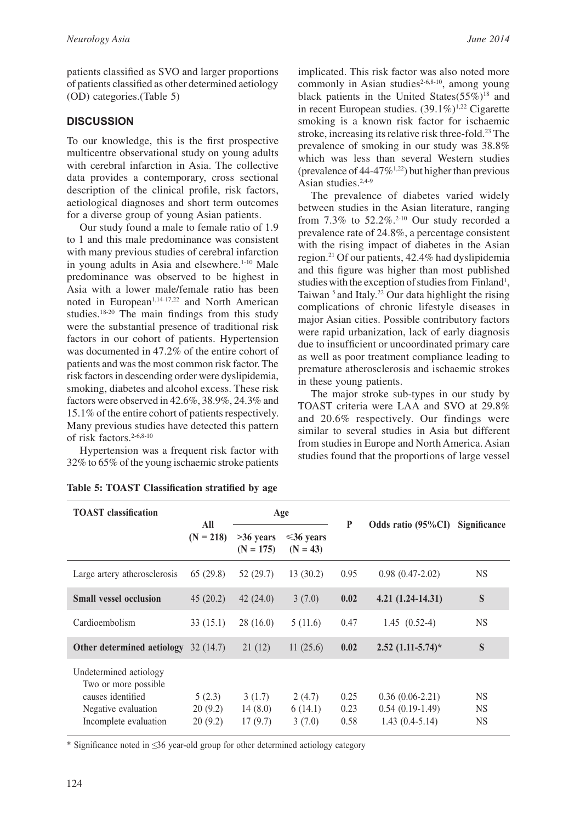patients classified as SVO and larger proportions of patients classified as other determined aetiology (OD) categories.(Table 5)

### **DISCUSSION**

To our knowledge, this is the first prospective multicentre observational study on young adults with cerebral infarction in Asia. The collective data provides a contemporary, cross sectional description of the clinical profile, risk factors, aetiological diagnoses and short term outcomes for a diverse group of young Asian patients.

Our study found a male to female ratio of 1.9 to 1 and this male predominance was consistent with many previous studies of cerebral infarction in young adults in Asia and elsewhere.<sup>1-10</sup> Male predominance was observed to be highest in Asia with a lower male/female ratio has been noted in European<sup>1,14-17,22</sup> and North American studies.18-20 The main findings from this study were the substantial presence of traditional risk factors in our cohort of patients. Hypertension was documented in 47.2% of the entire cohort of patients and was the most common risk factor. The risk factors in descending order were dyslipidemia, smoking, diabetes and alcohol excess. These risk factors were observed in 42.6%, 38.9%, 24.3% and 15.1% of the entire cohort of patients respectively. Many previous studies have detected this pattern of risk factors.<sup>2-6,8-10</sup>

Hypertension was a frequent risk factor with 32% to 65% of the young ischaemic stroke patients implicated. This risk factor was also noted more commonly in Asian studies<sup> $2-6,8-10$ </sup>, among young black patients in the United States $(55\%)^{18}$  and in recent European studies.  $(39.1\%)^{1,22}$  Cigarette smoking is a known risk factor for ischaemic stroke, increasing its relative risk three-fold.23 The prevalence of smoking in our study was 38.8% which was less than several Western studies (prevalence of  $44-47\%^{1,22}$ ) but higher than previous Asian studies.2,4-9

The prevalence of diabetes varied widely between studies in the Asian literature, ranging from  $7.3\%$  to  $52.2\%$ .<sup>2-10</sup> Our study recorded a prevalence rate of 24.8%, a percentage consistent with the rising impact of diabetes in the Asian region.21 Of our patients, 42.4% had dyslipidemia and this figure was higher than most published studies with the exception of studies from Finland<sup>1</sup>, Taiwan  $5$  and Italy.<sup>22</sup> Our data highlight the rising complications of chronic lifestyle diseases in major Asian cities. Possible contributory factors were rapid urbanization, lack of early diagnosis due to insufficient or uncoordinated primary care as well as poor treatment compliance leading to premature atherosclerosis and ischaemic strokes in these young patients.

The major stroke sub-types in our study by TOAST criteria were LAA and SVO at 29.8% and 20.6% respectively. Our findings were similar to several studies in Asia but different from studies in Europe and North America. Asian studies found that the proportions of large vessel

| <b>TOAST</b> classification                                                                                          | All                          |                              | Age                           | P                    | Odds ratio (95%CI)                                         | Significance                 |
|----------------------------------------------------------------------------------------------------------------------|------------------------------|------------------------------|-------------------------------|----------------------|------------------------------------------------------------|------------------------------|
|                                                                                                                      | $= 218$<br>(N <sup>2</sup> ) | $>36$ years<br>$(N = 175)$   | $\leq 36$ vears<br>$(N = 43)$ |                      |                                                            |                              |
| Large artery atherosclerosis                                                                                         | 65(29.8)                     | 52(29.7)                     | 13(30.2)                      | 0.95                 | $0.98(0.47-2.02)$                                          | <b>NS</b>                    |
| <b>Small vessel occlusion</b>                                                                                        | 45(20.2)                     | 42(24.0)                     | 3(7.0)                        | 0.02                 | $4.21(1.24-14.31)$                                         | S                            |
| Cardioembolism                                                                                                       | 33(15.1)                     | 28(16.0)                     | 5(11.6)                       | 0.47                 | $1.45(0.52-4)$                                             | <b>NS</b>                    |
| Other determined aetiology                                                                                           | 32(14.7)                     | 21(12)                       | 11(25.6)                      | 0.02                 | $2.52$ $(1.11-5.74)$ *                                     | S                            |
| Undetermined aetiology<br>Two or more possible.<br>causes identified<br>Negative evaluation<br>Incomplete evaluation | 5(2.3)<br>20(9.2)<br>20(9.2) | 3(1.7)<br>14(8.0)<br>17(9.7) | 2(4.7)<br>6(14.1)<br>3(7.0)   | 0.25<br>0.23<br>0.58 | $0.36(0.06-2.21)$<br>$0.54(0.19-1.49)$<br>$1.43(0.4-5.14)$ | <b>NS</b><br><b>NS</b><br>NS |

| Table 5: TOAST Classification stratified by age |  |
|-------------------------------------------------|--|
|-------------------------------------------------|--|

\* Significance noted in ≤36 year-old group for other determined aetiology category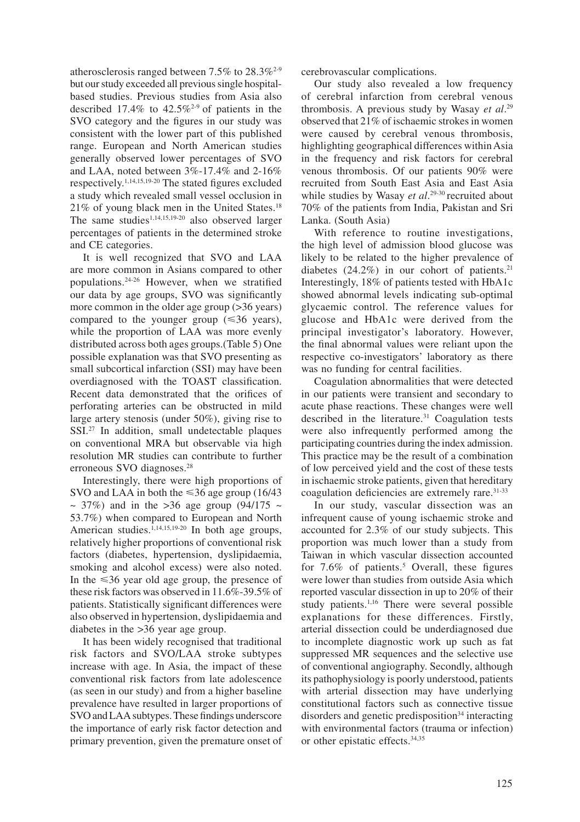atherosclerosis ranged between 7.5% to 28.3%2-9 but our study exceeded all previous single hospitalbased studies. Previous studies from Asia also described 17.4% to  $42.5\%^{2-9}$  of patients in the SVO category and the figures in our study was consistent with the lower part of this published range. European and North American studies generally observed lower percentages of SVO and LAA, noted between 3%-17.4% and 2-16% respectively.1,14,15,19-20 The stated figures excluded a study which revealed small vessel occlusion in 21% of young black men in the United States.18 The same studies<sup>1,14,15,19-20</sup> also observed larger percentages of patients in the determined stroke and CE categories.

It is well recognized that SVO and LAA are more common in Asians compared to other populations.24-26 However, when we stratified our data by age groups, SVO was significantly more common in the older age group (>36 years) compared to the younger group  $(\leq 36 \text{ years})$ , while the proportion of LAA was more evenly distributed across both ages groups.(Table 5) One possible explanation was that SVO presenting as small subcortical infarction (SSI) may have been overdiagnosed with the TOAST classification. Recent data demonstrated that the orifices of perforating arteries can be obstructed in mild large artery stenosis (under 50%), giving rise to SSI.<sup>27</sup> In addition, small undetectable plaques on conventional MRA but observable via high resolution MR studies can contribute to further erroneous SVO diagnoses.28

Interestingly, there were high proportions of SVO and LAA in both the  $\leq 36$  age group (16/43)  $\sim$  37%) and in the >36 age group (94/175  $\sim$ 53.7%) when compared to European and North American studies.<sup>1,14,15,19-20</sup> In both age groups, relatively higher proportions of conventional risk factors (diabetes, hypertension, dyslipidaemia, smoking and alcohol excess) were also noted. In the  $\leq 36$  year old age group, the presence of these risk factors was observed in 11.6%-39.5% of patients. Statistically significant differences were also observed in hypertension, dyslipidaemia and diabetes in the >36 year age group.

It has been widely recognised that traditional risk factors and SVO/LAA stroke subtypes increase with age. In Asia, the impact of these conventional risk factors from late adolescence (as seen in our study) and from a higher baseline prevalence have resulted in larger proportions of SVO and LAA subtypes. These findings underscore the importance of early risk factor detection and primary prevention, given the premature onset of cerebrovascular complications.

Our study also revealed a low frequency of cerebral infarction from cerebral venous thrombosis. A previous study by Wasay *et al*. 29 observed that 21% of ischaemic strokes in women were caused by cerebral venous thrombosis, highlighting geographical differences within Asia in the frequency and risk factors for cerebral venous thrombosis. Of our patients 90% were recruited from South East Asia and East Asia while studies by Wasay *et al*. 29-30 recruited about 70% of the patients from India, Pakistan and Sri Lanka. (South Asia)

With reference to routine investigations, the high level of admission blood glucose was likely to be related to the higher prevalence of diabetes  $(24.2\%)$  in our cohort of patients.<sup>21</sup> Interestingly, 18% of patients tested with HbA1c showed abnormal levels indicating sub-optimal glycaemic control. The reference values for glucose and HbA1c were derived from the principal investigator's laboratory. However, the final abnormal values were reliant upon the respective co-investigators' laboratory as there was no funding for central facilities.

Coagulation abnormalities that were detected in our patients were transient and secondary to acute phase reactions. These changes were well described in the literature.<sup>31</sup> Coagulation tests were also infrequently performed among the participating countries during the index admission. This practice may be the result of a combination of low perceived yield and the cost of these tests in ischaemic stroke patients, given that hereditary coagulation deficiencies are extremely rare.31-33

In our study, vascular dissection was an infrequent cause of young ischaemic stroke and accounted for 2.3% of our study subjects. This proportion was much lower than a study from Taiwan in which vascular dissection accounted for  $7.6\%$  of patients.<sup>5</sup> Overall, these figures were lower than studies from outside Asia which reported vascular dissection in up to 20% of their study patients.<sup>1,16</sup> There were several possible explanations for these differences. Firstly, arterial dissection could be underdiagnosed due to incomplete diagnostic work up such as fat suppressed MR sequences and the selective use of conventional angiography. Secondly, although its pathophysiology is poorly understood, patients with arterial dissection may have underlying constitutional factors such as connective tissue disorders and genetic predisposition<sup>34</sup> interacting with environmental factors (trauma or infection) or other epistatic effects.34,35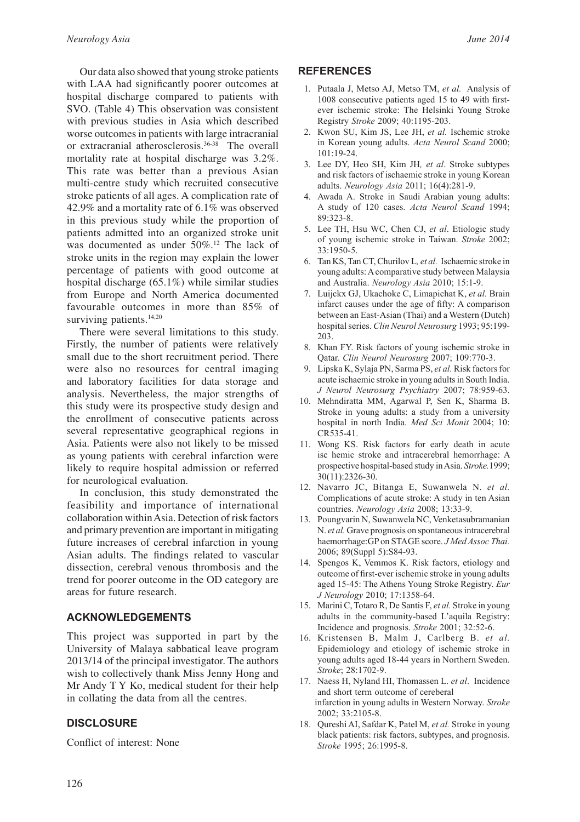Our data also showed that young stroke patients with LAA had significantly poorer outcomes at hospital discharge compared to patients with SVO. (Table 4) This observation was consistent with previous studies in Asia which described worse outcomes in patients with large intracranial or extracranial atherosclerosis.36-38 The overall mortality rate at hospital discharge was 3.2%. This rate was better than a previous Asian multi-centre study which recruited consecutive stroke patients of all ages. A complication rate of 42.9% and a mortality rate of 6.1% was observed in this previous study while the proportion of patients admitted into an organized stroke unit was documented as under 50%.<sup>12</sup> The lack of stroke units in the region may explain the lower percentage of patients with good outcome at hospital discharge (65.1%) while similar studies from Europe and North America documented favourable outcomes in more than 85% of surviving patients.<sup>14,20</sup>

There were several limitations to this study. Firstly, the number of patients were relatively small due to the short recruitment period. There were also no resources for central imaging and laboratory facilities for data storage and analysis. Nevertheless, the major strengths of this study were its prospective study design and the enrollment of consecutive patients across several representative geographical regions in Asia. Patients were also not likely to be missed as young patients with cerebral infarction were likely to require hospital admission or referred for neurological evaluation.

In conclusion, this study demonstrated the feasibility and importance of international collaboration within Asia. Detection of risk factors and primary prevention are important in mitigating future increases of cerebral infarction in young Asian adults. The findings related to vascular dissection, cerebral venous thrombosis and the trend for poorer outcome in the OD category are areas for future research.

# **ACKNOWLEDGEMENTS**

This project was supported in part by the University of Malaya sabbatical leave program 2013/14 of the principal investigator. The authors wish to collectively thank Miss Jenny Hong and Mr Andy T Y Ko, medical student for their help in collating the data from all the centres.

# **DISCLOSURE**

Conflict of interest: None

#### **REFERENCES**

- 1. Putaala J, Metso AJ, Metso TM, *et al.* Analysis of 1008 consecutive patients aged 15 to 49 with firstever ischemic stroke: The Helsinki Young Stroke Registry *Stroke* 2009; 40:1195-203.
- 2. Kwon SU, Kim JS, Lee JH, *et al.* Ischemic stroke in Korean young adults. *Acta Neurol Scand* 2000; 101:19-24.
- 3. Lee DY, Heo SH, Kim JH*, et al*. Stroke subtypes and risk factors of ischaemic stroke in young Korean adults. *Neurology Asia* 2011; 16(4):281-9.
- 4. Awada A. Stroke in Saudi Arabian young adults: A study of 120 cases. *Acta Neurol Scand* 1994; 89:323-8.
- 5. Lee TH, Hsu WC, Chen CJ, *et al*. Etiologic study of young ischemic stroke in Taiwan. *Stroke* 2002;  $33.1950 - 5$
- 6. Tan KS, Tan CT, Churilov L*, et al.* Ischaemic stroke in young adults: A comparative study between Malaysia and Australia. *Neurology Asia* 2010; 15:1-9.
- 7. Luijckx GJ, Ukachoke C, Limapichat K, *et al.* Brain infarct causes under the age of fifty: A comparison between an East-Asian (Thai) and a Western (Dutch) hospital series. *Clin Neurol Neurosurg* 1993; 95:199- 203.
- 8. Khan FY. Risk factors of young ischemic stroke in Qatar. *Clin Neurol Neurosurg* 2007; 109:770-3.
- 9. Lipska K, Sylaja PN, Sarma PS, *et al.* Risk factors for acute ischaemic stroke in young adults in South India. *J Neurol Neurosurg Psychiatry* 2007; 78:959-63.
- 10. Mehndiratta MM, Agarwal P, Sen K, Sharma B. Stroke in young adults: a study from a university hospital in north India. *Med Sci Monit* 2004; 10: CR535-41.
- 11. Wong KS. Risk factors for early death in acute isc hemic stroke and intracerebral hemorrhage: A prospective hospital-based study in Asia. *Stroke.*1999; 30(11):2326-30.
- 12. Navarro JC, Bitanga E, Suwanwela N. *et al.* Complications of acute stroke: A study in ten Asian countries. *Neurology Asia* 2008; 13:33-9.
- 13. Poungvarin N, Suwanwela NC, Venketasubramanian N. *et al.* Grave prognosis on spontaneous intracerebral haemorrhage:GP on STAGE score. *J Med Assoc Thai.* 2006; 89(Suppl 5):S84-93.
- 14. Spengos K, Vemmos K. Risk factors, etiology and outcome of first-ever ischemic stroke in young adults aged 15-45: The Athens Young Stroke Registry. *Eur J Neurology* 2010; 17:1358-64.
- 15. Marini C, Totaro R, De Santis F, *et al.* Stroke in young adults in the community-based L'aquila Registry: Incidence and prognosis. *Stroke* 2001; 32:52-6.
- 16. Kristensen B, Malm J, Carlberg B. *et al.* Epidemiology and etiology of ischemic stroke in young adults aged 18-44 years in Northern Sweden. *Stroke*; 28:1702-9.
- 17. Naess H, Nyland HI, Thomassen L. *et al*. Incidence and short term outcome of cereberal infarction in young adults in Western Norway. *Stroke* 2002; 33:2105-8.
- 18. Qureshi AI, Safdar K, Patel M, *et al.* Stroke in young black patients: risk factors, subtypes, and prognosis. *Stroke* 1995; 26:1995-8.